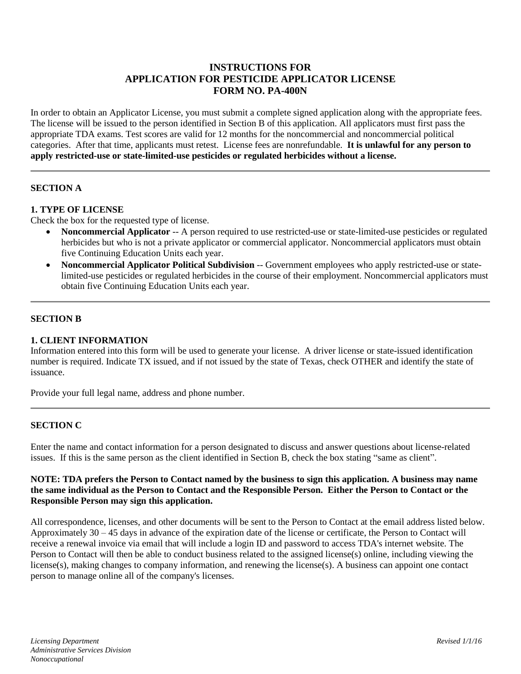# **INSTRUCTIONS FOR APPLICATION FOR PESTICIDE APPLICATOR LICENSE FORM NO. PA-400N**

In order to obtain an Applicator License, you must submit a complete signed application along with the appropriate fees. The license will be issued to the person identified in Section B of this application. All applicators must first pass the appropriate TDA exams. Test scores are valid for 12 months for the noncommercial and noncommercial political categories. After that time, applicants must retest. License fees are nonrefundable. **It is unlawful for any person to apply restricted-use or state-limited-use pesticides or regulated herbicides without a license.**

## **SECTION A**

### **1. TYPE OF LICENSE**

Check the box for the requested type of license.

- **Noncommercial Applicator** -- A person required to use restricted-use or state-limited-use pesticides or regulated herbicides but who is not a private applicator or commercial applicator. Noncommercial applicators must obtain five Continuing Education Units each year.
- **Noncommercial Applicator Political Subdivision** -- Government employees who apply restricted-use or statelimited-use pesticides or regulated herbicides in the course of their employment. Noncommercial applicators must obtain five Continuing Education Units each year.

### **SECTION B**

### **1. CLIENT INFORMATION**

Information entered into this form will be used to generate your license. A driver license or state-issued identification number is required. Indicate TX issued, and if not issued by the state of Texas, check OTHER and identify the state of issuance.

Provide your full legal name, address and phone number.

### **SECTION C**

Enter the name and contact information for a person designated to discuss and answer questions about license-related issues. If this is the same person as the client identified in Section B, check the box stating "same as client".

### **NOTE: TDA prefers the Person to Contact named by the business to sign this application. A business may name the same individual as the Person to Contact and the Responsible Person. Either the Person to Contact or the Responsible Person may sign this application.**

All correspondence, licenses, and other documents will be sent to the Person to Contact at the email address listed below. Approximately 30 – 45 days in advance of the expiration date of the license or certificate, the Person to Contact will receive a renewal invoice via email that will include a login ID and password to access TDA's internet website. The Person to Contact will then be able to conduct business related to the assigned license(s) online, including viewing the license(s), making changes to company information, and renewing the license(s). A business can appoint one contact person to manage online all of the company's licenses.